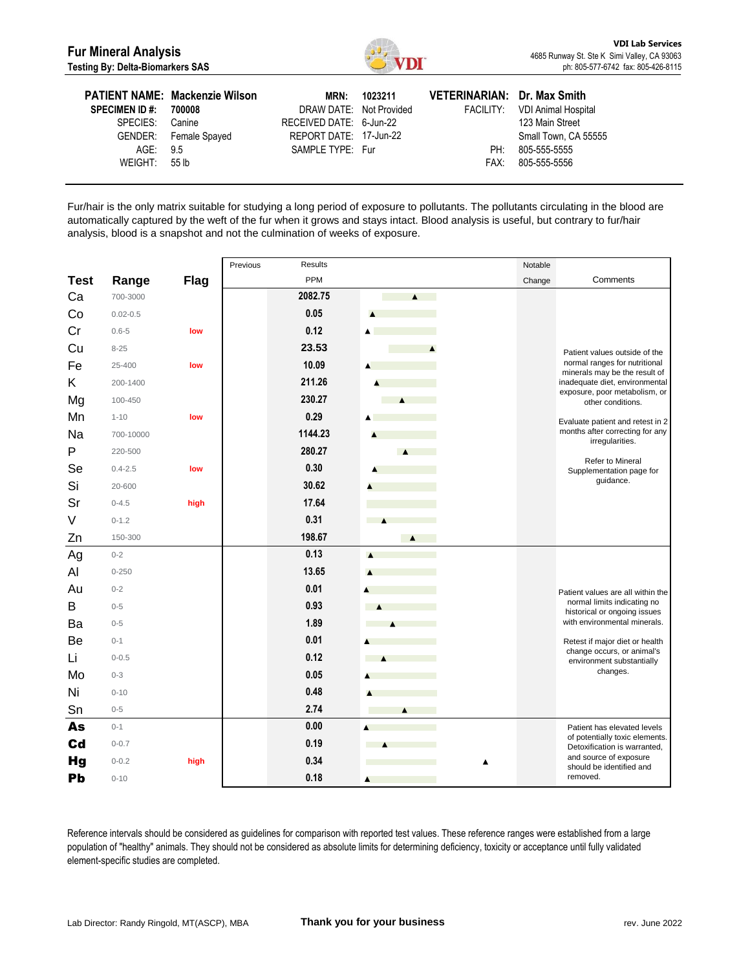

| <b>SPECIMEN ID#:</b><br>SPECIES: Canine<br>AGE: 9.5 | <b>PATIENT NAME: Mackenzie Wilson</b><br>700008<br>GENDER: Female Spayed | MRN:<br>DRAW DATE: Not Provided<br>RECEIVED DATE: 6-Jun-22<br>REPORT DATE: 17-Jun-22<br>SAMPLE TYPE: Fur | 1023211 | VETERINARIAN: Dr. Max Smith<br>PH: | FACILITY: VDI Animal Hospital<br>123 Main Street<br>Small Town, CA 55555<br>805-555-5555 |
|-----------------------------------------------------|--------------------------------------------------------------------------|----------------------------------------------------------------------------------------------------------|---------|------------------------------------|------------------------------------------------------------------------------------------|
| WEIGHT: 55 lb                                       |                                                                          |                                                                                                          |         | FAX:                               | 805-555-5556                                                                             |

Fur/hair is the only matrix suitable for studying a long period of exposure to pollutants. The pollutants circulating in the blood are automatically captured by the weft of the fur when it grows and stays intact. Blood analysis is useful, but contrary to fur/hair analysis, blood is a snapshot and not the culmination of weeks of exposure.

|             |              |             | Results<br>Previous |                                                                                                                                                                                                                                      | Notable |                                                                |
|-------------|--------------|-------------|---------------------|--------------------------------------------------------------------------------------------------------------------------------------------------------------------------------------------------------------------------------------|---------|----------------------------------------------------------------|
| <b>Test</b> | Range        | <b>Flag</b> | PPM                 |                                                                                                                                                                                                                                      | Change  | Comments                                                       |
| Ca          | 700-3000     |             | 2082.75             | $\blacktriangle$                                                                                                                                                                                                                     |         |                                                                |
| Co          | $0.02 - 0.5$ |             | 0.05                | $\blacktriangle$                                                                                                                                                                                                                     |         |                                                                |
| Cr          | $0.6 - 5$    | low         | 0.12                | ▲                                                                                                                                                                                                                                    |         |                                                                |
| Cu          | $8 - 25$     |             | 23.53               | $\blacktriangle$                                                                                                                                                                                                                     |         | Patient values outside of the                                  |
| Fe          | 25-400       | low         | 10.09               |                                                                                                                                                                                                                                      |         | normal ranges for nutritional<br>minerals may be the result of |
| Κ           | 200-1400     |             | 211.26              |                                                                                                                                                                                                                                      |         | inadequate diet, environmental                                 |
| Mg          | 100-450      |             | 230.27              | $\blacktriangle$                                                                                                                                                                                                                     |         | exposure, poor metabolism, or<br>other conditions.             |
| Mn          | $1 - 10$     | low         | 0.29                |                                                                                                                                                                                                                                      |         | Evaluate patient and retest in 2                               |
| Na          | 700-10000    |             | 1144.23             |                                                                                                                                                                                                                                      |         | months after correcting for any<br>irregularities.             |
| P           | 220-500      |             | 280.27              | $\blacktriangle$                                                                                                                                                                                                                     |         |                                                                |
| Se          | $0.4 - 2.5$  | low         | 0.30                |                                                                                                                                                                                                                                      |         | Refer to Mineral<br>Supplementation page for                   |
| Si          | 20-600       |             | 30.62               |                                                                                                                                                                                                                                      |         | guidance.                                                      |
| Sr          | $0 - 4.5$    | high        | 17.64               |                                                                                                                                                                                                                                      |         |                                                                |
| V           | $0 - 1.2$    |             | 0.31                | <b>Contract</b><br>$\mathcal{L}^{\mathcal{L}}(\mathcal{L}^{\mathcal{L}})$ and $\mathcal{L}^{\mathcal{L}}(\mathcal{L}^{\mathcal{L}})$ . In the case of the $\mathcal{L}^{\mathcal{L}}(\mathcal{L}^{\mathcal{L}})$<br>$\blacktriangle$ |         |                                                                |
| Zn          | 150-300      |             | 198.67              | $\blacktriangle$                                                                                                                                                                                                                     |         |                                                                |
| Ag          | $0 - 2$      |             | 0.13                | $\blacktriangle$                                                                                                                                                                                                                     |         |                                                                |
| Al          | $0 - 250$    |             | 13.65               |                                                                                                                                                                                                                                      |         |                                                                |
| Au          | $0 - 2$      |             | 0.01                |                                                                                                                                                                                                                                      |         | Patient values are all within the                              |
| B           | $0 - 5$      |             | 0.93                |                                                                                                                                                                                                                                      |         | normal limits indicating no<br>historical or ongoing issues    |
| Ba          | $0 - 5$      |             | 1.89                | <b>College</b><br>$\blacktriangle$                                                                                                                                                                                                   |         | with environmental minerals.                                   |
| Be          | $0 - 1$      |             | 0.01                |                                                                                                                                                                                                                                      |         | Retest if major diet or health                                 |
| Li          | $0 - 0.5$    |             | 0.12                |                                                                                                                                                                                                                                      |         | change occurs, or animal's<br>environment substantially        |
| Mo          | $0 - 3$      |             | 0.05                |                                                                                                                                                                                                                                      |         | changes.                                                       |
| Ni          | $0 - 10$     |             | 0.48                |                                                                                                                                                                                                                                      |         |                                                                |
| Sn          | $0 - 5$      |             | 2.74                | Ā                                                                                                                                                                                                                                    |         |                                                                |
| As          | $0 - 1$      |             | 0.00                | Á                                                                                                                                                                                                                                    |         | Patient has elevated levels                                    |
| $_{\rm cd}$ | $0 - 0.7$    |             | 0.19                | <b>College</b>                                                                                                                                                                                                                       |         | of potentially toxic elements.<br>Detoxification is warranted, |
| <b>Hg</b>   | $0 - 0.2$    | high        | 0.34                |                                                                                                                                                                                                                                      |         | and source of exposure<br>should be identified and             |
| Pb          | $0 - 10$     |             | 0.18                | ▲                                                                                                                                                                                                                                    |         | removed.                                                       |

Reference intervals should be considered as guidelines for comparison with reported test values. These reference ranges were established from a large population of "healthy" animals. They should not be considered as absolute limits for determining deficiency, toxicity or acceptance until fully validated element-specific studies are completed.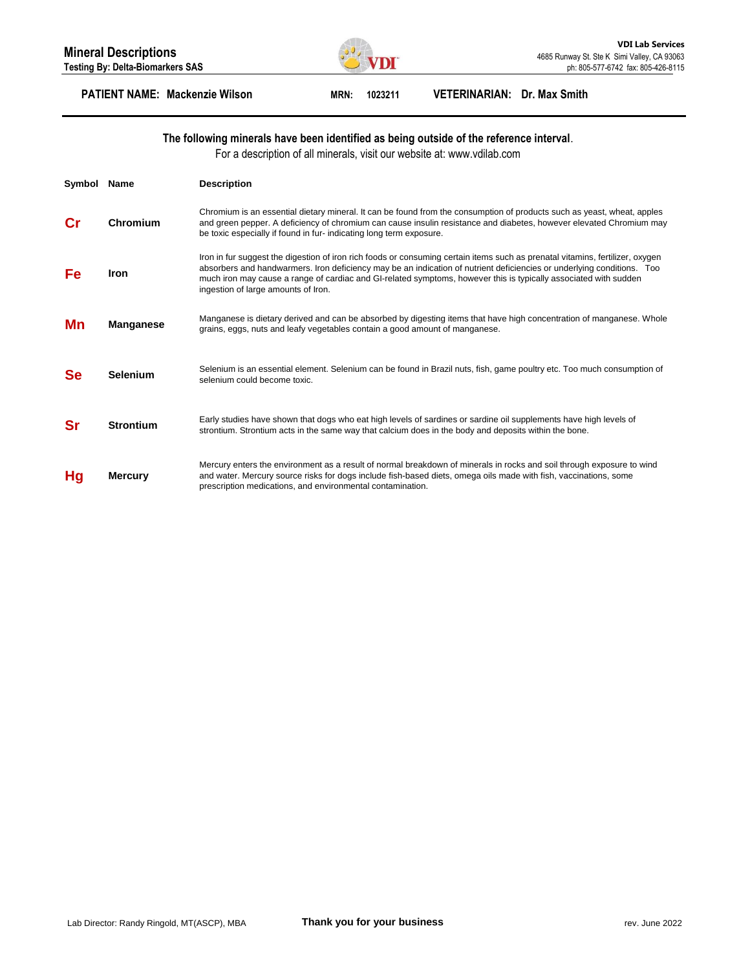

### **PATIENT NAME: Mackenzie Wilson MRN: 1023211 VETERINARIAN: Dr. Max Smith**

#### **The following minerals have been identified as being outside of the reference interval**.

For a description of all minerals, visit our website at: www.vdilab.com

| Symbol    | <b>Name</b>      | <b>Description</b>                                                                                                                                                                                                                                                                                                                                                                                                 |
|-----------|------------------|--------------------------------------------------------------------------------------------------------------------------------------------------------------------------------------------------------------------------------------------------------------------------------------------------------------------------------------------------------------------------------------------------------------------|
| Cr        | Chromium         | Chromium is an essential dietary mineral. It can be found from the consumption of products such as yeast, wheat, apples<br>and green pepper. A deficiency of chromium can cause insulin resistance and diabetes, however elevated Chromium may<br>be toxic especially if found in fur- indicating long term exposure.                                                                                              |
| Fe        | <b>Iron</b>      | Iron in fur suggest the digestion of iron rich foods or consuming certain items such as prenatal vitamins, fertilizer, oxygen<br>absorbers and handwarmers. Iron deficiency may be an indication of nutrient deficiencies or underlying conditions. Too<br>much iron may cause a range of cardiac and GI-related symptoms, however this is typically associated with sudden<br>ingestion of large amounts of Iron. |
| Mn        | <b>Manganese</b> | Manganese is dietary derived and can be absorbed by digesting items that have high concentration of manganese. Whole<br>grains, eggs, nuts and leafy vegetables contain a good amount of manganese.                                                                                                                                                                                                                |
| <b>Se</b> | <b>Selenium</b>  | Selenium is an essential element. Selenium can be found in Brazil nuts, fish, game poultry etc. Too much consumption of<br>selenium could become toxic.                                                                                                                                                                                                                                                            |
| Sr        | <b>Strontium</b> | Early studies have shown that dogs who eat high levels of sardines or sardine oil supplements have high levels of<br>strontium. Strontium acts in the same way that calcium does in the body and deposits within the bone.                                                                                                                                                                                         |
| Hg        | <b>Mercury</b>   | Mercury enters the environment as a result of normal breakdown of minerals in rocks and soil through exposure to wind<br>and water. Mercury source risks for dogs include fish-based diets, omega oils made with fish, vaccinations, some<br>prescription medications, and environmental contamination.                                                                                                            |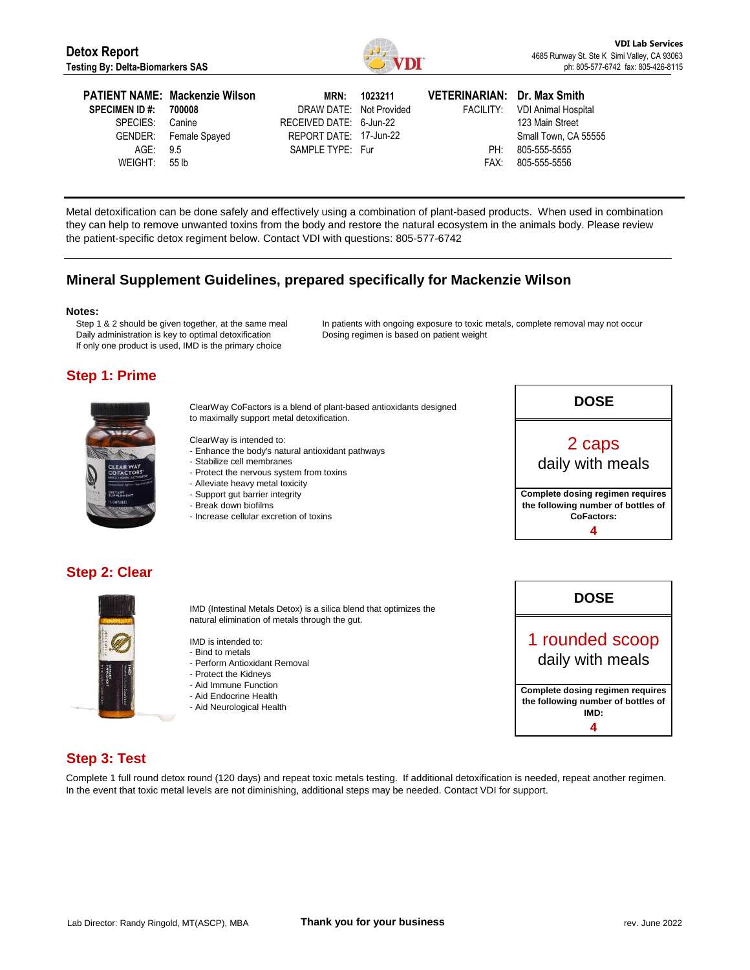

| <b>PATIENT NAME: Mackenzie Wilson</b><br><b>SPECIMEN ID #:</b><br>700008<br>SPECIES: Canine<br>GENDER: Female Spayed<br>AGE: 9.5<br>WEIGHT: 55 lb | DRAW DATE: Not Provided<br>RECEIVED DATE: 6-Jun-22<br>REPORT DATE: 17-Jun-22<br>SAMPLE TYPE: Fur | MRN: 1023211 | VETERINARIAN: Dr. Max Smith<br>PH: | FACILITY: VDI Animal Hospital<br>123 Main Street<br>Small Town, CA 55555<br>805-555-5555<br>FAX: 805-555-5556 |
|---------------------------------------------------------------------------------------------------------------------------------------------------|--------------------------------------------------------------------------------------------------|--------------|------------------------------------|---------------------------------------------------------------------------------------------------------------|
|---------------------------------------------------------------------------------------------------------------------------------------------------|--------------------------------------------------------------------------------------------------|--------------|------------------------------------|---------------------------------------------------------------------------------------------------------------|

Metal detoxification can be done safely and effectively using a combination of plant-based products. When used in combination they can help to remove unwanted toxins from the body and restore the natural ecosystem in the animals body. Please review the patient-specific detox regiment below. Contact VDI with questions: 805-577-6742

## **Mineral Supplement Guidelines, prepared specifically for Mackenzie Wilson**

#### **Notes:**

Step 1 & 2 should be given together, at the same meal Daily administration is key to optimal detoxification If only one product is used, IMD is the primary choice

In patients with ongoing exposure to toxic metals, complete removal may not occur Dosing regimen is based on patient weight

## **Step 1: Prime**



ClearWay CoFactors is a blend of plant-based antioxidants designed to maximally support metal detoxification.

ClearWay is intended to:

- Enhance the body's natural antioxidant pathways
- Stabilize cell membranes
- Protect the nervous system from toxins
- Alleviate heavy metal toxicity
- Support gut barrier integrity
- Break down biofilms
- Increase cellular excretion of toxins



## **Step 2: Clear**



IMD (Intestinal Metals Detox) is a silica blend that optimizes the natural elimination of metals through the gut.

IMD is intended to:

- Bind to metals
- Perform Antioxidant Removal
- Protect the Kidneys
- Aid Immune Function
- Aid Endocrine Health
- Aid Neurological Health



## **Step 3: Test**

Complete 1 full round detox round (120 days) and repeat toxic metals testing. If additional detoxification is needed, repeat another regimen. In the event that toxic metal levels are not diminishing, additional steps may be needed. Contact VDI for support.